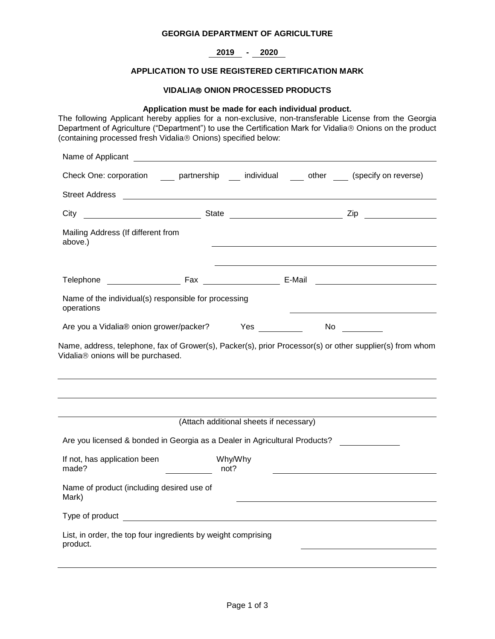### **GEORGIA DEPARTMENT OF AGRICULTURE**

# **2019 - 2020**

# **APPLICATION TO USE REGISTERED CERTIFICATION MARK**

#### **VIDALIA ONION PROCESSED PRODUCTS**

#### **Application must be made for each individual product.**

The following Applicant hereby applies for a non-exclusive, non-transferable License from the Georgia Department of Agriculture ("Department") to use the Certification Mark for Vidalia® Onions on the product (containing processed fresh Vidalia® Onions) specified below:

| Name of Applicant                                                                                                                              |                                                                                                                |  |
|------------------------------------------------------------------------------------------------------------------------------------------------|----------------------------------------------------------------------------------------------------------------|--|
| Check One: corporation _____ partnership ____ individual ____ other ____ (specify on reverse)                                                  |                                                                                                                |  |
|                                                                                                                                                |                                                                                                                |  |
| City                                                                                                                                           |                                                                                                                |  |
| Mailing Address (If different from<br>above.)                                                                                                  |                                                                                                                |  |
| Telephone                                                                                                                                      |                                                                                                                |  |
| Name of the individual(s) responsible for processing<br>operations                                                                             |                                                                                                                |  |
| Are you a Vidalia® onion grower/packer? Yes                                                                                                    | No and the state of the state of the state of the state of the state of the state of the state of the state of |  |
| Name, address, telephone, fax of Grower(s), Packer(s), prior Processor(s) or other supplier(s) from whom<br>Vidalia® onions will be purchased. |                                                                                                                |  |
|                                                                                                                                                |                                                                                                                |  |
|                                                                                                                                                |                                                                                                                |  |
| (Attach additional sheets if necessary)                                                                                                        |                                                                                                                |  |
| Are you licensed & bonded in Georgia as a Dealer in Agricultural Products?                                                                     |                                                                                                                |  |
| If not, has application been<br>Why/Why<br>made?<br>not?                                                                                       |                                                                                                                |  |
| Name of product (including desired use of<br>Mark)                                                                                             |                                                                                                                |  |
|                                                                                                                                                |                                                                                                                |  |
| List, in order, the top four ingredients by weight comprising<br>product.                                                                      |                                                                                                                |  |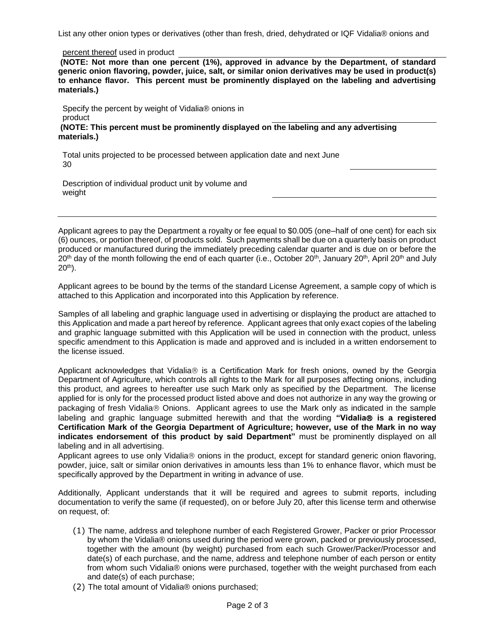List any other onion types or derivatives (other than fresh, dried, dehydrated or IQF Vidalia® onions and

percent thereof used in product

**(NOTE: Not more than one percent (1%), approved in advance by the Department, of standard generic onion flavoring, powder, juice, salt, or similar onion derivatives may be used in product(s) to enhance flavor. This percent must be prominently displayed on the labeling and advertising materials.)**

Specify the percent by weight of Vidalia® onions in product

**(NOTE: This percent must be prominently displayed on the labeling and any advertising materials.)**

Total units projected to be processed between application date and next June 30

Description of individual product unit by volume and weight

Applicant agrees to pay the Department a royalty or fee equal to \$0.005 (one–half of one cent) for each six (6) ounces, or portion thereof, of products sold. Such payments shall be due on a quarterly basis on product produced or manufactured during the immediately preceding calendar quarter and is due on or before the 20<sup>th</sup> day of the month following the end of each quarter (i.e., October 20<sup>th</sup>, January 20<sup>th</sup>, April 20<sup>th</sup> and July  $20<sup>th</sup>$ ).

Applicant agrees to be bound by the terms of the standard License Agreement, a sample copy of which is attached to this Application and incorporated into this Application by reference.

Samples of all labeling and graphic language used in advertising or displaying the product are attached to this Application and made a part hereof by reference. Applicant agrees that only exact copies of the labeling and graphic language submitted with this Application will be used in connection with the product, unless specific amendment to this Application is made and approved and is included in a written endorsement to the license issued.

Applicant acknowledges that Vidalia® is a Certification Mark for fresh onions, owned by the Georgia Department of Agriculture, which controls all rights to the Mark for all purposes affecting onions, including this product, and agrees to hereafter use such Mark only as specified by the Department. The license applied for is only for the processed product listed above and does not authorize in any way the growing or packaging of fresh Vidalia® Onions. Applicant agrees to use the Mark only as indicated in the sample labeling and graphic language submitted herewith and that the wording "Vidalia<sup>®</sup> is a registered **Certification Mark of the Georgia Department of Agriculture; however, use of the Mark in no way indicates endorsement of this product by said Department"** must be prominently displayed on all labeling and in all advertising.

Applicant agrees to use only Vidalia $\circledast$  onions in the product, except for standard generic onion flavoring, powder, juice, salt or similar onion derivatives in amounts less than 1% to enhance flavor, which must be specifically approved by the Department in writing in advance of use.

Additionally, Applicant understands that it will be required and agrees to submit reports, including documentation to verify the same (if requested), on or before July 20, after this license term and otherwise on request, of:

- (1) The name, address and telephone number of each Registered Grower, Packer or prior Processor by whom the Vidalia® onions used during the period were grown, packed or previously processed, together with the amount (by weight) purchased from each such Grower/Packer/Processor and date(s) of each purchase, and the name, address and telephone number of each person or entity from whom such Vidalia® onions were purchased, together with the weight purchased from each and date(s) of each purchase;
- (2) The total amount of Vidalia® onions purchased;